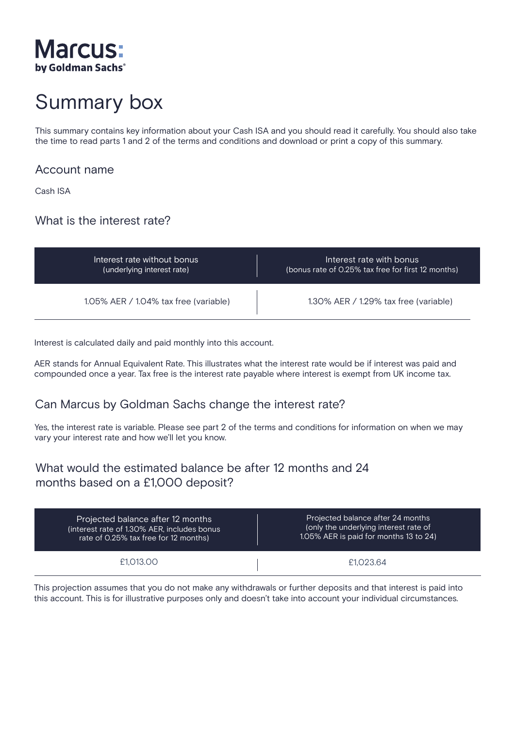

# Summary box

This summary contains key information about your Cash ISA and you should read it carefully. You should also take the time to read parts 1 and 2 of the terms and conditions and download or print a copy of this summary.

#### Account name

Cash ISA

# What is the interest rate?

| Interest rate without bonus           | Interest rate with bonus.                          |
|---------------------------------------|----------------------------------------------------|
| (underlying interest rate)            | (bonus rate of 0.25% tax free for first 12 months) |
| 1.05% AER / 1.04% tax free (variable) | 1.30% AER / 1.29% tax free (variable)              |

Interest is calculated daily and paid monthly into this account.

AER stands for Annual Equivalent Rate. This illustrates what the interest rate would be if interest was paid and compounded once a year. Tax free is the interest rate payable where interest is exempt from UK income tax.

# Can Marcus by Goldman Sachs change the interest rate?

Yes, the interest rate is variable. Please see part 2 of the terms and conditions for information on when we may vary your interest rate and how we'll let you know.

# What would the estimated balance be after 12 months and 24 months based on a £1,000 deposit?

| Projected balance after 12 months           | Projected balance after 24 months      |
|---------------------------------------------|----------------------------------------|
| (interest rate of 1.30% AER, includes bonus | (only the underlying interest rate of  |
| rate of 0.25% tax free for 12 months)       | 1.05% AER is paid for months 13 to 24) |
| £1.013.00                                   | £1.023.64                              |

This projection assumes that you do not make any withdrawals or further deposits and that interest is paid into this account. This is for illustrative purposes only and doesn't take into account your individual circumstances.